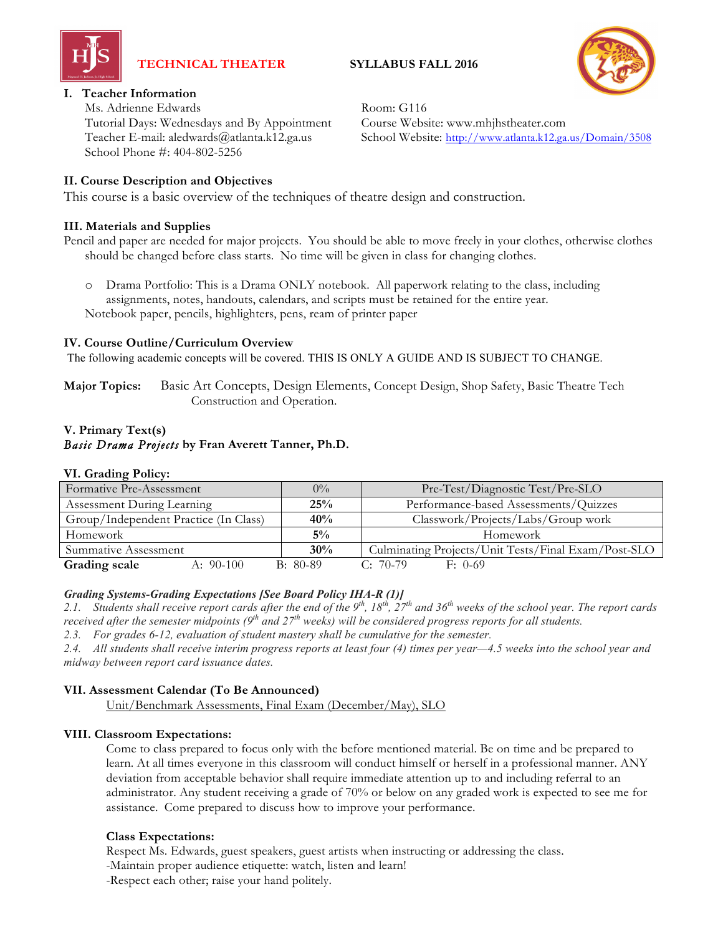

# **TECHNICAL THEATER SYLLABUS FALL 2016**



# **I. Teacher Information**

Ms. Adrienne Edwards Room: G116 Tutorial Days: Wednesdays and By Appointment Course Website: www.mhjhstheater.com School Phone #: 404-802-5256

Teacher E-mail: aledwards@atlanta.k12.ga.us School Website: http://www.atlanta.k12.ga.us/Domain/3508

## **II. Course Description and Objectives**

This course is a basic overview of the techniques of theatre design and construction.

#### **III. Materials and Supplies**

Pencil and paper are needed for major projects. You should be able to move freely in your clothes, otherwise clothes should be changed before class starts. No time will be given in class for changing clothes.

o Drama Portfolio: This is a Drama ONLY notebook. All paperwork relating to the class, including assignments, notes, handouts, calendars, and scripts must be retained for the entire year. Notebook paper, pencils, highlighters, pens, ream of printer paper

#### **IV. Course Outline/Curriculum Overview**

The following academic concepts will be covered. THIS IS ONLY A GUIDE AND IS SUBJECT TO CHANGE.

**Major Topics:** Basic Art Concepts, Design Elements, Concept Design, Shop Safety, Basic Theatre Tech Construction and Operation.

# **V. Primary Text(s)**

# *Basic Drama Projects* **by Fran Averett Tanner, Ph.D.**

#### **VI. Grading Policy:**

| Formative Pre-Assessment              | $0\%$      | Pre-Test/Diagnostic Test/Pre-SLO                    |
|---------------------------------------|------------|-----------------------------------------------------|
| Assessment During Learning            | 25%        | Performance-based Assessments/Quizzes               |
| Group/Independent Practice (In Class) | 40%        | Classwork/Projects/Labs/Group work                  |
| Homework                              | $5\%$      | Homework                                            |
| Summative Assessment                  | 30%        | Culminating Projects/Unit Tests/Final Exam/Post-SLO |
| Grading scale<br>$A: 90-100$          | $B: 80-89$ | $C: 70-79$<br>$F: 0-69$                             |

#### *Grading Systems-Grading Expectations [See Board Policy IHA-R (1)]*

2.1. Students shall receive report cards after the end of the  $9^{th}$ ,  $18^{th}$ ,  $27^{th}$  and 36<sup>th</sup> weeks of the school year. The report cards received after the semester midpoints (9<sup>th</sup> and 27<sup>th</sup> weeks) will be considered progress reports for all students.

*2.3. For grades 6-12, evaluation of student mastery shall be cumulative for the semester.*

2.4. All students shall receive interim progress reports at least four (4) times per year-4.5 weeks into the school year and *midway between report card issuance dates.*

#### **VII. Assessment Calendar (To Be Announced)**

Unit/Benchmark Assessments, Final Exam (December/May), SLO

# **VIII. Classroom Expectations:**

Come to class prepared to focus only with the before mentioned material. Be on time and be prepared to learn. At all times everyone in this classroom will conduct himself or herself in a professional manner. ANY deviation from acceptable behavior shall require immediate attention up to and including referral to an administrator. Any student receiving a grade of 70% or below on any graded work is expected to see me for assistance. Come prepared to discuss how to improve your performance.

# **Class Expectations:**

Respect Ms. Edwards, guest speakers, guest artists when instructing or addressing the class. -Maintain proper audience etiquette: watch, listen and learn! -Respect each other; raise your hand politely.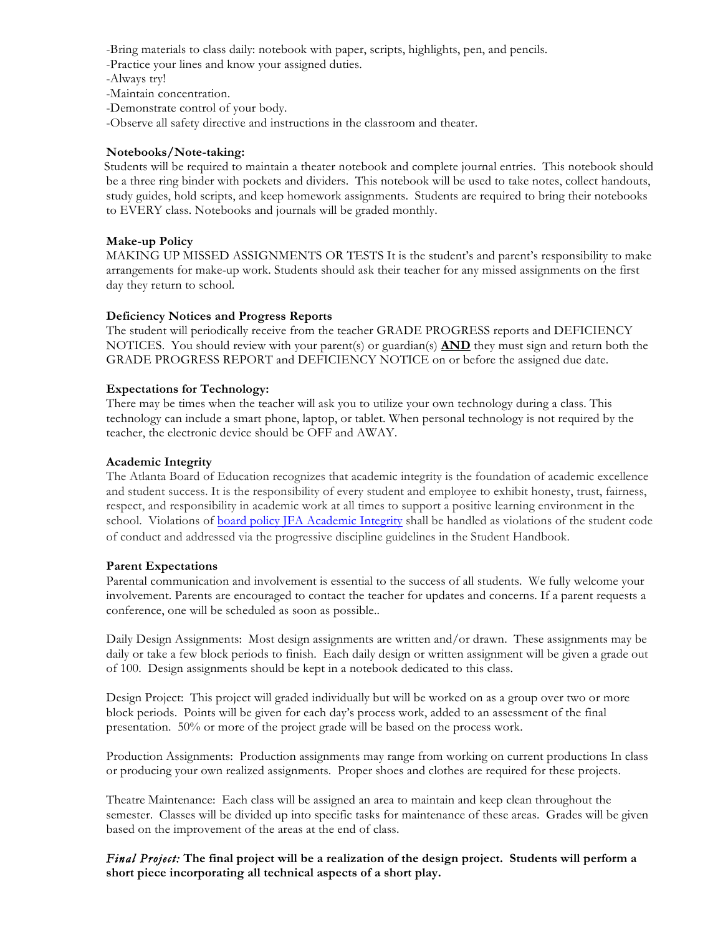-Bring materials to class daily: notebook with paper, scripts, highlights, pen, and pencils.

-Practice your lines and know your assigned duties.

-Always try!

-Maintain concentration.

-Demonstrate control of your body.

-Observe all safety directive and instructions in the classroom and theater.

## **Notebooks/Note-taking:**

Students will be required to maintain a theater notebook and complete journal entries. This notebook should be a three ring binder with pockets and dividers. This notebook will be used to take notes, collect handouts, study guides, hold scripts, and keep homework assignments. Students are required to bring their notebooks to EVERY class. Notebooks and journals will be graded monthly.

### **Make-up Policy**

MAKING UP MISSED ASSIGNMENTS OR TESTS It is the student's and parent's responsibility to make arrangements for make-up work. Students should ask their teacher for any missed assignments on the first day they return to school.

### **Deficiency Notices and Progress Reports**

The student will periodically receive from the teacher GRADE PROGRESS reports and DEFICIENCY NOTICES. You should review with your parent(s) or guardian(s) **AND** they must sign and return both the GRADE PROGRESS REPORT and DEFICIENCY NOTICE on or before the assigned due date.

### **Expectations for Technology:**

There may be times when the teacher will ask you to utilize your own technology during a class. This technology can include a smart phone, laptop, or tablet. When personal technology is not required by the teacher, the electronic device should be OFF and AWAY.

### **Academic Integrity**

The Atlanta Board of Education recognizes that academic integrity is the foundation of academic excellence and student success. It is the responsibility of every student and employee to exhibit honesty, trust, fairness, respect, and responsibility in academic work at all times to support a positive learning environment in the school. Violations of board policy JFA Academic Integrity shall be handled as violations of the student code of conduct and addressed via the progressive discipline guidelines in the Student Handbook.

#### **Parent Expectations**

Parental communication and involvement is essential to the success of all students. We fully welcome your involvement. Parents are encouraged to contact the teacher for updates and concerns. If a parent requests a conference, one will be scheduled as soon as possible..

Daily Design Assignments: Most design assignments are written and/or drawn. These assignments may be daily or take a few block periods to finish. Each daily design or written assignment will be given a grade out of 100. Design assignments should be kept in a notebook dedicated to this class.

Design Project: This project will graded individually but will be worked on as a group over two or more block periods. Points will be given for each day's process work, added to an assessment of the final presentation. 50% or more of the project grade will be based on the process work.

Production Assignments: Production assignments may range from working on current productions In class or producing your own realized assignments. Proper shoes and clothes are required for these projects.

Theatre Maintenance: Each class will be assigned an area to maintain and keep clean throughout the semester. Classes will be divided up into specific tasks for maintenance of these areas. Grades will be given based on the improvement of the areas at the end of class.

*Final Project:* **The final project will be a realization of the design project. Students will perform a short piece incorporating all technical aspects of a short play.**